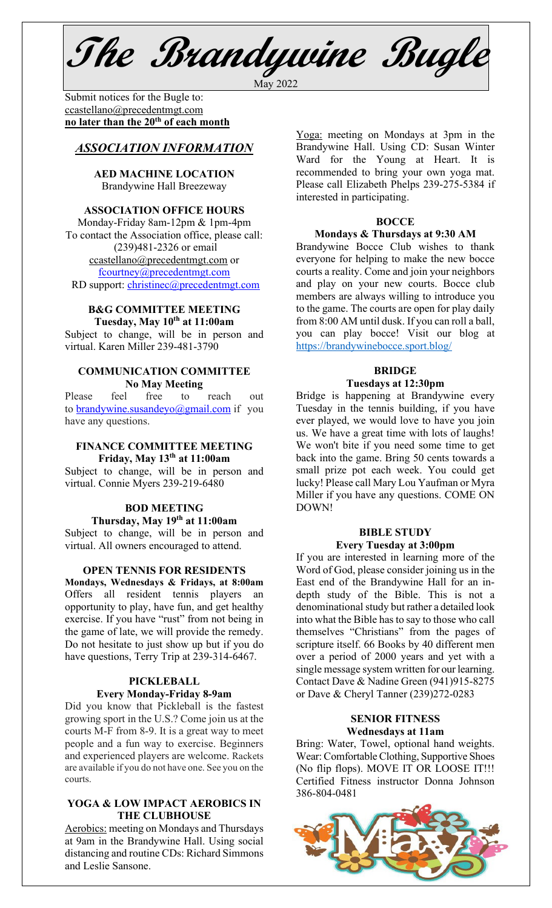**The Brandywine Bugle** May 2022

Submit notices for the Bugle to:[ccastellano@precedentmgt.com](mailto:johnandbethgrooms@gmail.com) **no later than the 20th of each month**

# *ASSOCIATION INFORMATION*

**AED MACHINE LOCATION**  Brandywine Hall Breezeway

#### **ASSOCIATION OFFICE HOURS**

Monday-Friday 8am-12pm & 1pm-4pm To contact the Association office, please call: (239)481-2326 or email [ccastellano@precedentmgt.com](mailto:ccastellano@precedentmgt.com) or [fcourtney@precedentmgt.com](mailto:fcourtney@precedentmgt.com) RD support: [christinec@precedentmgt.com](mailto:christinec@precedentmgt.com)

#### **B&G COMMITTEE MEETING Tuesday, May 10th at 11:00am**

Subject to change, will be in person and virtual. Karen Miller 239-481-3790

# **COMMUNICATION COMMITTEE No May Meeting**

Please feel free to reach out to [brandywine.susandeyo@gmail.com](mailto:brandywine.susandeyo@gmail.com) if you have any questions.

# **FINANCE COMMITTEE MEETING Friday, May 13th at 11:00am**

Subject to change, will be in person and virtual. Connie Myers 239-219-6480

#### **BOD MEETING Thursday, May 19th at 11:00am**

Subject to change, will be in person and virtual. All owners encouraged to attend.

#### **OPEN TENNIS FOR RESIDENTS**

**Mondays, Wednesdays & Fridays, at 8:00am** Offers all resident tennis players an opportunity to play, have fun, and get healthy exercise. If you have "rust" from not being in the game of late, we will provide the remedy. Do not hesitate to just show up but if you do have questions, Terry Trip at 239-314-6467.

# **PICKLEBALL Every Monday-Friday 8-9am**

Did you know that Pickleball is the fastest growing sport in the U.S.? Come join us at the courts M-F from 8-9. It is a great way to meet people and a fun way to exercise. Beginners and experienced players are welcome. Rackets are available if you do not have one. See you on the courts.

# **YOGA & LOW IMPACT AEROBICS IN THE CLUBHOUSE**

Aerobics: meeting on Mondays and Thursdays at 9am in the Brandywine Hall. Using social distancing and routine CDs: Richard Simmons and Leslie Sansone.

Yoga: meeting on Mondays at 3pm in the Brandywine Hall. Using CD: Susan Winter Ward for the Young at Heart. It is recommended to bring your own yoga mat. Please call Elizabeth Phelps 239-275-5384 if interested in participating.

#### **BOCCE**

#### **Mondays & Thursdays at 9:30 AM**

Brandywine Bocce Club wishes to thank everyone for helping to make the new bocce courts a reality. Come and join your neighbors and play on your new courts. Bocce club members are always willing to introduce you to the game. The courts are open for play daily from 8:00 AM until dusk. If you can roll a ball, you can play bocce! Visit our blog at <https://brandywinebocce.sport.blog/>

# **BRIDGE**

# **Tuesdays at 12:30pm**

Bridge is happening at Brandywine every Tuesday in the tennis building, if you have ever played, we would love to have you join us. We have a great time with lots of laughs! We won't bite if you need some time to get back into the game. Bring 50 cents towards a small prize pot each week. You could get lucky! Please call Mary Lou Yaufman or Myra Miller if you have any questions. COME ON DOWN!

#### **BIBLE STUDY Every Tuesday at 3:00pm**

If you are interested in learning more of the Word of God, please consider joining us in the East end of the Brandywine Hall for an indepth study of the Bible. This is not a denominational study but rather a detailed look into what the Bible has to say to those who call themselves "Christians" from the pages of scripture itself. 66 Books by 40 different men over a period of 2000 years and yet with a single message system written for our learning. Contact Dave & Nadine Green (941)915-8275 or Dave & Cheryl Tanner (239)272-0283

#### **SENIOR FITNESS Wednesdays at 11am**

Bring: Water, Towel, optional hand weights. Wear: Comfortable Clothing, Supportive Shoes (No flip flops). MOVE IT OR LOOSE IT!!! Certified Fitness instructor Donna Johnson 386-804-0481

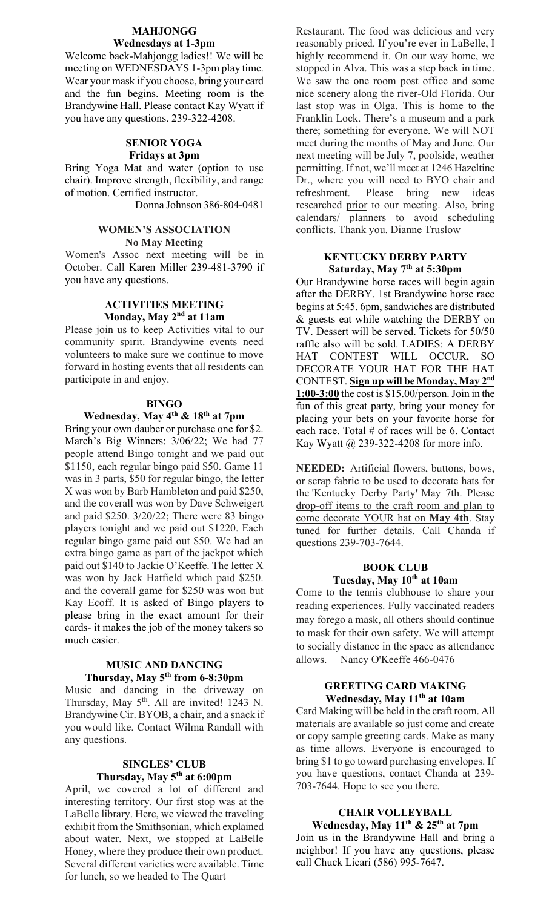#### **MAHJONGG Wednesdays at 1-3pm**

Welcome back-Mahjongg ladies!! We will be meeting on WEDNESDAYS 1-3pm play time. Wear your mask if you choose, bring your card and the fun begins. Meeting room is the Brandywine Hall. Please contact Kay Wyatt if you have any questions. 239-322-4208.

#### **SENIOR YOGA Fridays at 3pm**

Bring Yoga Mat and water (option to use chair). Improve strength, flexibility, and range of motion. Certified instructor.

Donna Johnson 386-804-0481

# **WOMEN'S ASSOCIATION No May Meeting**

Women's Assoc next meeting will be in October. Call Karen Miller 239-481-3790 if you have any questions.

#### **ACTIVITIES MEETING Monday, May 2nd at 11am**

Please join us to keep Activities vital to our community spirit. Brandywine events need volunteers to make sure we continue to move forward in hosting events that all residents can participate in and enjoy.

# **BINGO**

#### **Wednesday, May 4th & 18th at 7pm**

Bring your own dauber or purchase one for \$2. March's Big Winners: 3/06/22; We had 77 people attend Bingo tonight and we paid out \$1150, each regular bingo paid \$50. Game 11 was in 3 parts, \$50 for regular bingo, the letter X was won by Barb Hambleton and paid \$250, and the coverall was won by Dave Schweigert and paid \$250. 3/20/22; There were 83 bingo players tonight and we paid out \$1220. Each regular bingo game paid out \$50. We had an extra bingo game as part of the jackpot which paid out \$140 to Jackie O'Keeffe. The letter X was won by Jack Hatfield which paid \$250. and the coverall game for \$250 was won but Kay Ecoff. It is asked of Bingo players to please bring in the exact amount for their cards- it makes the job of the money takers so much easier.

# **MUSIC AND DANCING Thursday, May 5th from 6-8:30pm**

Music and dancing in the driveway on Thursday, May 5<sup>th</sup>. All are invited! 1243 N. Brandywine Cir. BYOB, a chair, and a snack if you would like. Contact Wilma Randall with any questions.

#### **SINGLES' CLUB Thursday, May 5th at 6:00pm**

April, we covered a lot of different and interesting territory. Our first stop was at the LaBelle library. Here, we viewed the traveling exhibit from the Smithsonian, which explained about water. Next, we stopped at LaBelle Honey, where they produce their own product. Several different varieties were available. Time for lunch, so we headed to The Quart

Restaurant. The food was delicious and very reasonably priced. If you're ever in LaBelle, I highly recommend it. On our way home, we stopped in Alva. This was a step back in time. We saw the one room post office and some nice scenery along the river-Old Florida. Our last stop was in Olga. This is home to the Franklin Lock. There's a museum and a park there; something for everyone. We will NOT meet during the months of May and June. Our next meeting will be July 7, poolside, weather permitting. If not, we'll meet at 1246 Hazeltine Dr., where you will need to BYO chair and refreshment. Please bring new ideas researched prior to our meeting. Also, bring calendars/ planners to avoid scheduling conflicts. Thank you. Dianne Truslow

#### **KENTUCKY DERBY PARTY Saturday, May 7th at 5:30pm**

Our Brandywine horse races will begin again after the DERBY. 1st Brandywine horse race begins at 5:45. 6pm, sandwiches are distributed & guests eat while watching the DERBY on TV. Dessert will be served. Tickets for 50/50 raffle also will be sold. LADIES: A DERBY HAT CONTEST WILL OCCUR, SO DECORATE YOUR HAT FOR THE HAT CONTEST. **Sign up will be Monday, May 2nd 1:00-3:00** the cost is \$15.00/person. Join in the fun of this great party, bring your money for placing your bets on your favorite horse for each race. Total # of races will be 6. Contact Kay Wyatt @ 239-322-4208 for more info.

**NEEDED:** Artificial flowers, buttons, bows, or scrap fabric to be used to decorate hats for the 'Kentucky Derby Party**'** May 7th. Please drop-off items to the craft room and plan to come decorate YOUR hat on **May 4th**. Stay tuned for further details. Call Chanda if questions 239-703-7644.

# **BOOK CLUB Tuesday, May 10th at 10am**

Come to the tennis clubhouse to share your reading experiences. Fully vaccinated readers may forego a mask, all others should continue to mask for their own safety. We will attempt to socially distance in the space as attendance allows. Nancy O'Keeffe 466-0476

#### **GREETING CARD MAKING Wednesday, May 11th at 10am**

Card Making will be held in the craft room. All materials are available so just come and create or copy sample greeting cards. Make as many as time allows. Everyone is encouraged to bring \$1 to go toward purchasing envelopes. If you have questions, contact Chanda at 239- 703-7644. Hope to see you there.

# **CHAIR VOLLEYBALL Wednesday, May 11th & 25th at 7pm**

Join us in the Brandywine Hall and bring a neighbor! If you have any questions, please call Chuck Licari (586) 995-7647.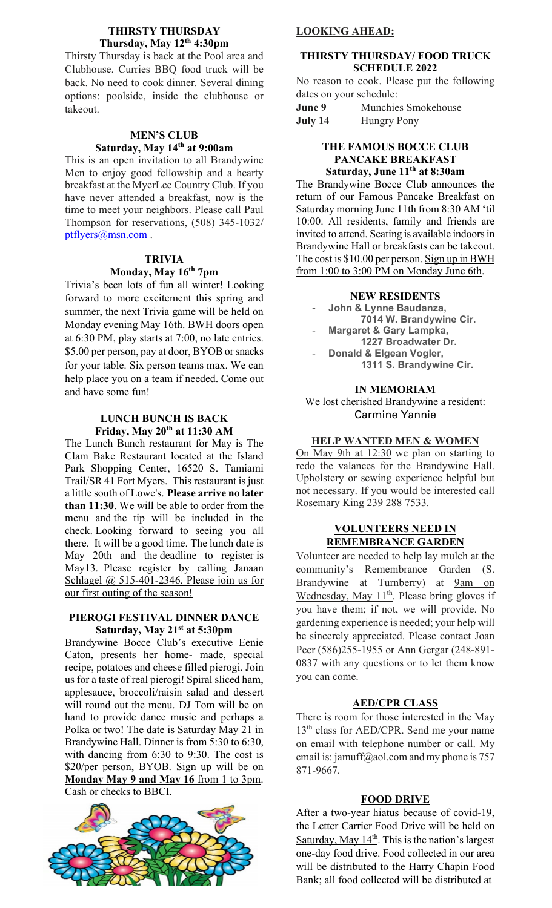## **THIRSTY THURSDAY Thursday, May 12th 4:30pm**

Thirsty Thursday is back at the Pool area and Clubhouse. Curries BBQ food truck will be back. No need to cook dinner. Several dining options: poolside, inside the clubhouse or takeout.

# **MEN'S CLUB Saturday, May 14th at 9:00am**

This is an open invitation to all Brandywine Men to enjoy good fellowship and a hearty breakfast at the MyerLee Country Club. If you have never attended a breakfast, now is the time to meet your neighbors. Please call Paul Thompson for reservations, (508) 345-1032/ [ptflyers@msn.com](mailto:ptflyers@msn.com).

# **TRIVIA**

# **Monday, May 16th 7pm**

Trivia's been lots of fun all winter! Looking forward to more excitement this spring and summer, the next Trivia game will be held on Monday evening May 16th. BWH doors open at 6:30 PM, play starts at 7:00, no late entries. \$5.00 per person, pay at door, BYOB or snacks for your table. Six person teams max. We can help place you on a team if needed. Come out and have some fun!

#### **LUNCH BUNCH IS BACK Friday, May 20th at 11:30 AM**

The Lunch Bunch restaurant for May is The Clam Bake Restaurant located at the Island Park Shopping Center, 16520 S. Tamiami Trail/SR 41 Fort Myers. This restaurant is just a little south of Lowe's. **Please arrive no later than 11:30**. We will be able to order from the menu and the tip will be included in the check. Looking forward to seeing you all there. It will be a good time. The lunch date is May 20th and the deadline to register is May13. Please register by calling Janaan Schlagel @ 515-401-2346. Please join us for our first outing of the season!

#### **PIEROGI FESTIVAL DINNER DANCE Saturday, May 21st at 5:30pm**

Brandywine Bocce Club's executive Eenie Caton, presents her home- made, special recipe, potatoes and cheese filled pierogi. Join us for a taste of real pierogi! Spiral sliced ham, applesauce, broccoli/raisin salad and dessert will round out the menu. DJ Tom will be on hand to provide dance music and perhaps a Polka or two! The date is Saturday May 21 in Brandywine Hall. Dinner is from 5:30 to 6:30, with dancing from 6:30 to 9:30. The cost is \$20/per person, BYOB. Sign up will be on **Monday May 9 and May 16** from 1 to 3pm. Cash or checks to BBCI.



#### **LOOKING AHEAD:**

# **THIRSTY THURSDAY/ FOOD TRUCK SCHEDULE 2022**

No reason to cook. Please put the following dates on your schedule:

| June 9  | Munchies Smokehouse |
|---------|---------------------|
| July 14 | <b>Hungry Pony</b>  |

# **THE FAMOUS BOCCE CLUB PANCAKE BREAKFAST Saturday, June 11th at 8:30am**

The Brandywine Bocce Club announces the return of our Famous Pancake Breakfast on Saturday morning June 11th from 8:30 AM 'til 10:00. All residents, family and friends are invited to attend. Seating is available indoors in Brandywine Hall or breakfasts can be takeout. The cost is \$10.00 per person. Sign up in BWH from 1:00 to 3:00 PM on Monday June 6th.

#### **NEW RESIDENTS**

- **John & Lynne Baudanza, 7014 W. Brandywine Cir.**
- **Margaret & Gary Lampka, 1227 Broadwater Dr.**
- **Donald & Elgean Vogler, 1311 S. Brandywine Cir.**

#### **IN MEMORIAM**

We lost cherished Brandywine a resident: Carmine Yannie

#### **HELP WANTED MEN & WOMEN**

On  $\overline{May 9th}$  at 12:30 we plan on starting to redo the valances for the Brandywine Hall. Upholstery or sewing experience helpful but not necessary. If you would be interested call Rosemary King 239 288 7533.

#### **VOLUNTEERS NEED IN REMEMBRANCE GARDEN**

Volunteer are needed to help lay mulch at the community's Remembrance Garden (S. Brandywine at Turnberry) at 9am on Wednesday, May 11<sup>th</sup>. Please bring gloves if you have them; if not, we will provide. No gardening experience is needed; your help will be sincerely appreciated. Please contact Joan Peer (586)255-1955 or Ann Gergar (248-891- 0837 with any questions or to let them know you can come.

# **AED/CPR CLASS**

There is room for those interested in the May 13<sup>th</sup> class for AED/CPR. Send me your name on email with telephone number or call. My email is: jamuff@aol.com and my phone is 757 871-9667.

#### **FOOD DRIVE**

After a two-year hiatus because of covid-19, the Letter Carrier Food Drive will be held on Saturday, May  $14<sup>th</sup>$ . This is the nation's largest one-day food drive. Food collected in our area will be distributed to the Harry Chapin Food Bank; all food collected will be distributed at